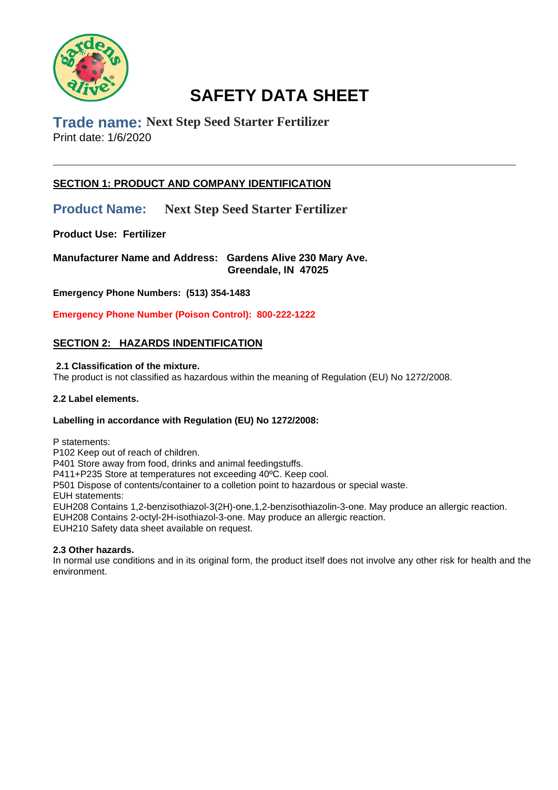

\_\_\_\_\_\_\_\_\_\_\_\_\_\_\_\_\_\_\_\_\_\_\_\_\_\_\_\_\_\_\_\_\_\_\_\_\_\_\_\_\_\_\_\_\_\_\_\_\_\_\_\_\_\_\_\_\_\_\_\_\_\_\_\_\_\_\_\_\_\_\_\_\_\_\_\_\_\_\_\_\_\_\_\_\_\_\_\_\_\_\_\_\_\_\_\_\_\_\_\_\_\_\_\_\_\_\_\_\_\_\_

**Trade name: Next Step Seed Starter Fertilizer** Print date: 1/6/2020

# **SECTION 1: PRODUCT AND COMPANY IDENTIFICATION**

**Product Name: Next Step Seed Starter Fertilizer**

**Product Use: Fertilizer** 

**Manufacturer Name and Address: Gardens Alive 230 Mary Ave. Greendale, IN 47025**

**Emergency Phone Numbers: (513) 354-1483**

**Emergency Phone Number (Poison Control): 800-222-1222**

# **SECTION 2: HAZARDS INDENTIFICATION**

### **2.1 Classification of the mixture.**

The product is not classified as hazardous within the meaning of Regulation (EU) No 1272/2008.

### **2.2 Label elements.**

### **Labelling in accordance with Regulation (EU) No 1272/2008:**

P statements:

P102 Keep out of reach of children.

P401 Store away from food, drinks and animal feedingstuffs.

P411+P235 Store at temperatures not exceeding 40ºC. Keep cool.

P501 Dispose of contents/container to a colletion point to hazardous or special waste.

EUH statements:

EUH208 Contains 1,2-benzisothiazol-3(2H)-one,1,2-benzisothiazolin-3-one. May produce an allergic reaction.

EUH208 Contains 2-octyl-2H-isothiazol-3-one. May produce an allergic reaction.

EUH210 Safety data sheet available on request.

### **2.3 Other hazards.**

In normal use conditions and in its original form, the product itself does not involve any other risk for health and the environment.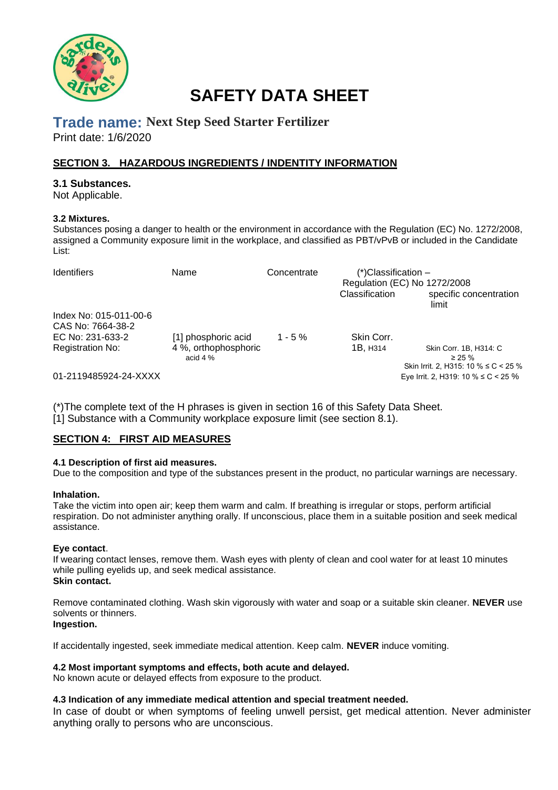

# **Trade name: Next Step Seed Starter Fertilizer**

Print date: 1/6/2020

# **SECTION 3. HAZARDOUS INGREDIENTS / INDENTITY INFORMATION**

### **3.1 Substances.**

Not Applicable.

### **3.2 Mixtures.**

Substances posing a danger to health or the environment in accordance with the Regulation (EC) No. 1272/2008, assigned a Community exposure limit in the workplace, and classified as PBT/vPvB or included in the Candidate List:

| <b>Identifiers</b>                          | Name                               | Concentrate | $(*)$ Classification –<br>Regulation (EC) No 1272/2008<br>Classification | specific concentration<br>limit                                               |
|---------------------------------------------|------------------------------------|-------------|--------------------------------------------------------------------------|-------------------------------------------------------------------------------|
| Index No: 015-011-00-6<br>CAS No: 7664-38-2 |                                    |             |                                                                          |                                                                               |
| EC No: 231-633-2                            | [1] phosphoric acid                | $1 - 5 \%$  | Skin Corr.                                                               |                                                                               |
| <b>Registration No:</b>                     | 4 %, orthophosphoric<br>acid $4\%$ |             | 1B, H314                                                                 | Skin Corr. 1B, H314: C<br>$\geq$ 25 %<br>Skin Irrit. 2, H315: 10 % ≤ C < 25 % |
| 01-2119485924-24-XXXX                       |                                    |             |                                                                          | Eye Irrit. 2, H319: 10 % ≤ C < 25 %                                           |

(\*)The complete text of the H phrases is given in section 16 of this Safety Data Sheet. [1] Substance with a Community workplace exposure limit (see section 8.1).

# **SECTION 4: FIRST AID MEASURES**

### **4.1 Description of first aid measures.**

Due to the composition and type of the substances present in the product, no particular warnings are necessary.

### **Inhalation.**

Take the victim into open air; keep them warm and calm. If breathing is irregular or stops, perform artificial respiration. Do not administer anything orally. If unconscious, place them in a suitable position and seek medical assistance.

### **Eye contact**.

If wearing contact lenses, remove them. Wash eyes with plenty of clean and cool water for at least 10 minutes while pulling evelids up, and seek medical assistance. **Skin contact.** 

Remove contaminated clothing. Wash skin vigorously with water and soap or a suitable skin cleaner. **NEVER** use solvents or thinners. **Ingestion.** 

### If accidentally ingested, seek immediate medical attention. Keep calm. **NEVER** induce vomiting.

### **4.2 Most important symptoms and effects, both acute and delayed.**

No known acute or delayed effects from exposure to the product.

### **4.3 Indication of any immediate medical attention and special treatment needed.**

In case of doubt or when symptoms of feeling unwell persist, get medical attention. Never administer anything orally to persons who are unconscious.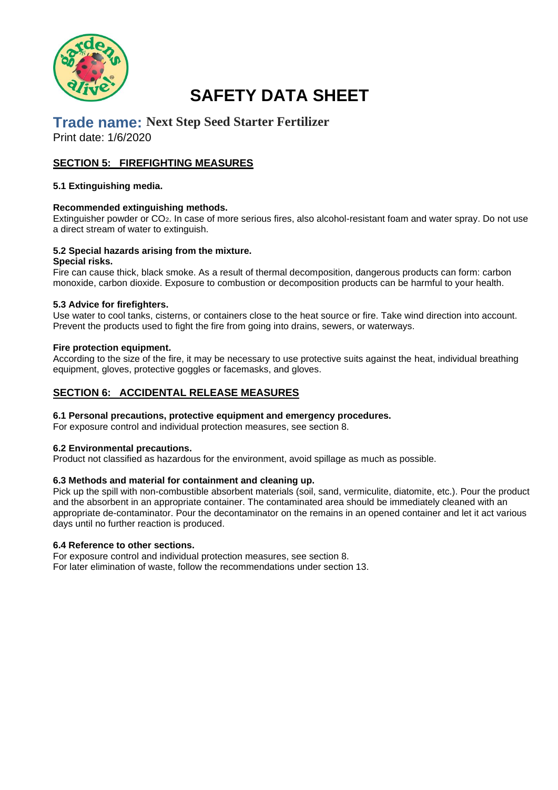

# **Trade name: Next Step Seed Starter Fertilizer**

Print date: 1/6/2020

## **SECTION 5: FIREFIGHTING MEASURES**

### **5.1 Extinguishing media.**

### **Recommended extinguishing methods.**

Extinguisher powder or CO2. In case of more serious fires, also alcohol-resistant foam and water spray. Do not use a direct stream of water to extinguish.

### **5.2 Special hazards arising from the mixture.**

#### **Special risks.**

Fire can cause thick, black smoke. As a result of thermal decomposition, dangerous products can form: carbon monoxide, carbon dioxide. Exposure to combustion or decomposition products can be harmful to your health.

### **5.3 Advice for firefighters.**

Use water to cool tanks, cisterns, or containers close to the heat source or fire. Take wind direction into account. Prevent the products used to fight the fire from going into drains, sewers, or waterways.

#### **Fire protection equipment.**

According to the size of the fire, it may be necessary to use protective suits against the heat, individual breathing equipment, gloves, protective goggles or facemasks, and gloves.

### **SECTION 6: ACCIDENTAL RELEASE MEASURES**

### **6.1 Personal precautions, protective equipment and emergency procedures.**

For exposure control and individual protection measures, see section 8.

#### **6.2 Environmental precautions.**

Product not classified as hazardous for the environment, avoid spillage as much as possible.

### **6.3 Methods and material for containment and cleaning up.**

Pick up the spill with non-combustible absorbent materials (soil, sand, vermiculite, diatomite, etc.). Pour the product and the absorbent in an appropriate container. The contaminated area should be immediately cleaned with an appropriate de-contaminator. Pour the decontaminator on the remains in an opened container and let it act various days until no further reaction is produced.

### **6.4 Reference to other sections.**

For exposure control and individual protection measures, see section 8. For later elimination of waste, follow the recommendations under section 13.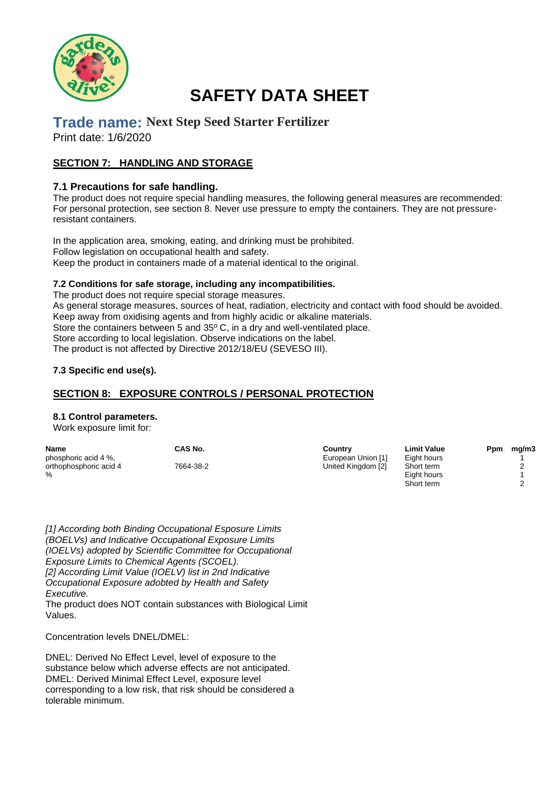

# **Trade name: Next Step Seed Starter Fertilizer**

Print date: 1/6/2020

## **SECTION 7: HANDLING AND STORAGE**

### **7.1 Precautions for safe handling.**

The product does not require special handling measures, the following general measures are recommended: For personal protection, see section 8. Never use pressure to empty the containers. They are not pressureresistant containers.

In the application area, smoking, eating, and drinking must be prohibited. Follow legislation on occupational health and safety. Keep the product in containers made of a material identical to the original.

### **7.2 Conditions for safe storage, including any incompatibilities.**

The product does not require special storage measures. As general storage measures, sources of heat, radiation, electricity and contact with food should be avoided. Keep away from oxidising agents and from highly acidic or alkaline materials. Store the containers between 5 and 35º C, in a dry and well-ventilated place. Store according to local legislation. Observe indications on the label. The product is not affected by Directive 2012/18/EU (SEVESO III).

### **7.3 Specific end use(s).**

### **SECTION 8: EXPOSURE CONTROLS / PERSONAL PROTECTION**

### **8.1 Control parameters.**

Work exposure limit for:

| <b>Name</b>            | CAS No.   | Country            | <b>Limit Value</b> | Ppm | mg/m3 |
|------------------------|-----------|--------------------|--------------------|-----|-------|
| phosphoric acid 4 %,   |           | European Union [1] | Eight hours        |     |       |
| orthophosphoric acid 4 | 7664-38-2 | United Kingdom [2] | Short term         |     |       |
| $\%$                   |           |                    | Eight hours        |     |       |
|                        |           |                    | Short term         |     |       |

*[1] According both Binding Occupational Esposure Limits (BOELVs) and Indicative Occupational Exposure Limits (IOELVs) adopted by Scientific Committee for Occupational Exposure Limits to Chemical Agents (SCOEL). [2] According Limit Value (IOELV) list in 2nd Indicative Occupational Exposure adobted by Health and Safety Executive.*  The product does NOT contain substances with Biological Limit

Values.

Concentration levels DNEL/DMEL:

DNEL: Derived No Effect Level, level of exposure to the substance below which adverse effects are not anticipated. DMEL: Derived Minimal Effect Level, exposure level corresponding to a low risk, that risk should be considered a tolerable minimum.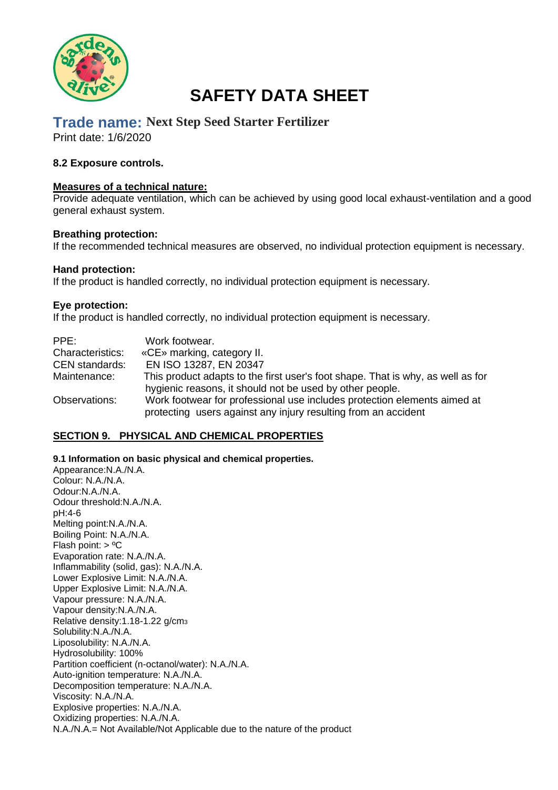

# **Trade name: Next Step Seed Starter Fertilizer**

Print date: 1/6/2020

### **8.2 Exposure controls.**

### **Measures of a technical nature:**

Provide adequate ventilation, which can be achieved by using good local exhaust-ventilation and a good general exhaust system.

### **Breathing protection:**

If the recommended technical measures are observed, no individual protection equipment is necessary.

### **Hand protection:**

If the product is handled correctly, no individual protection equipment is necessary.

### **Eye protection:**

If the product is handled correctly, no individual protection equipment is necessary.

| PPE:                    | Work footwear.                                                                                                                              |
|-------------------------|---------------------------------------------------------------------------------------------------------------------------------------------|
| <b>Characteristics:</b> | «CE» marking, category II.                                                                                                                  |
| <b>CEN</b> standards:   | EN ISO 13287, EN 20347                                                                                                                      |
| Maintenance:            | This product adapts to the first user's foot shape. That is why, as well as for<br>hygienic reasons, it should not be used by other people. |
| Observations:           | Work footwear for professional use includes protection elements aimed at<br>protecting users against any injury resulting from an accident  |

### **SECTION 9. PHYSICAL AND CHEMICAL PROPERTIES**

**9.1 Information on basic physical and chemical properties.** 

Appearance:N.A./N.A. Colour: N.A./N.A. Odour:N.A./N.A. Odour threshold:N.A./N.A. pH:4-6 Melting point:N.A./N.A. Boiling Point: N.A./N.A. Flash point: > ºC Evaporation rate: N.A./N.A. Inflammability (solid, gas): N.A./N.A. Lower Explosive Limit: N.A./N.A. Upper Explosive Limit: N.A./N.A. Vapour pressure: N.A./N.A. Vapour density:N.A./N.A. Relative density:1.18-1.22 g/cm<sup>3</sup> Solubility:N.A./N.A. Liposolubility: N.A./N.A. Hydrosolubility: 100% Partition coefficient (n-octanol/water): N.A./N.A. Auto-ignition temperature: N.A./N.A. Decomposition temperature: N.A./N.A. Viscosity: N.A./N.A. Explosive properties: N.A./N.A. Oxidizing properties: N.A./N.A. N.A./N.A.= Not Available/Not Applicable due to the nature of the product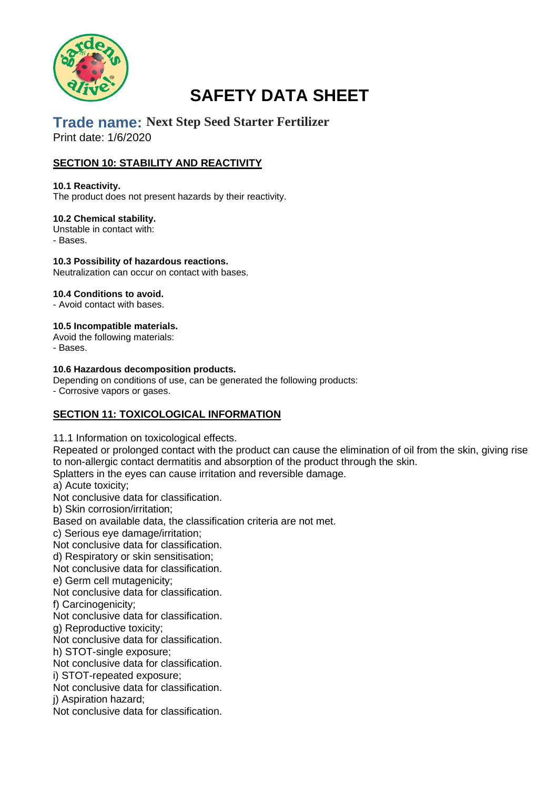

# **Trade name: Next Step Seed Starter Fertilizer** Print date: 1/6/2020

# **SECTION 10: STABILITY AND REACTIVITY**

### **10.1 Reactivity.**

The product does not present hazards by their reactivity.

### **10.2 Chemical stability.**

Unstable in contact with: - Bases.

**10.3 Possibility of hazardous reactions.**  Neutralization can occur on contact with bases.

### **10.4 Conditions to avoid.**

- Avoid contact with bases.

### **10.5 Incompatible materials.**

Avoid the following materials:

- Bases.

### **10.6 Hazardous decomposition products.**

Depending on conditions of use, can be generated the following products:

- Corrosive vapors or gases.

# **SECTION 11: TOXICOLOGICAL INFORMATION**

11.1 Information on toxicological effects.

Repeated or prolonged contact with the product can cause the elimination of oil from the skin, giving rise to non-allergic contact dermatitis and absorption of the product through the skin.

Splatters in the eyes can cause irritation and reversible damage.

a) Acute toxicity;

Not conclusive data for classification.

b) Skin corrosion/irritation;

Based on available data, the classification criteria are not met.

c) Serious eye damage/irritation;

Not conclusive data for classification.

d) Respiratory or skin sensitisation;

Not conclusive data for classification.

e) Germ cell mutagenicity;

Not conclusive data for classification.

f) Carcinogenicity;

Not conclusive data for classification.

g) Reproductive toxicity;

Not conclusive data for classification.

h) STOT-single exposure;

Not conclusive data for classification.

i) STOT-repeated exposure;

Not conclusive data for classification.

j) Aspiration hazard;

Not conclusive data for classification.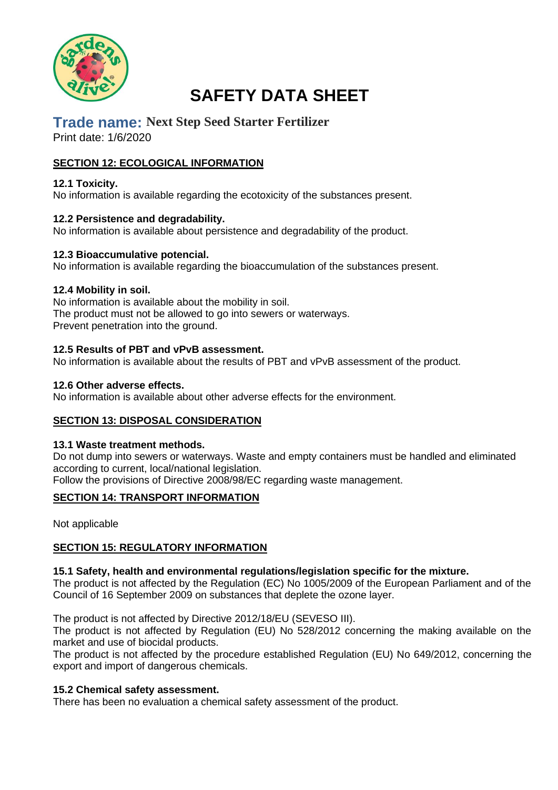

# **Trade name: Next Step Seed Starter Fertilizer**

Print date: 1/6/2020

# **SECTION 12: ECOLOGICAL INFORMATION**

## **12.1 Toxicity.**

No information is available regarding the ecotoxicity of the substances present.

### **12.2 Persistence and degradability.**

No information is available about persistence and degradability of the product.

### **12.3 Bioaccumulative potencial.**

No information is available regarding the bioaccumulation of the substances present.

### **12.4 Mobility in soil.**

No information is available about the mobility in soil. The product must not be allowed to go into sewers or waterways. Prevent penetration into the ground.

### **12.5 Results of PBT and vPvB assessment.**

No information is available about the results of PBT and vPvB assessment of the product.

### **12.6 Other adverse effects.**

No information is available about other adverse effects for the environment.

# **SECTION 13: DISPOSAL CONSIDERATION**

### **13.1 Waste treatment methods.**

Do not dump into sewers or waterways. Waste and empty containers must be handled and eliminated according to current, local/national legislation. Follow the provisions of Directive 2008/98/EC regarding waste management.

### **SECTION 14: TRANSPORT INFORMATION**

Not applicable

# **SECTION 15: REGULATORY INFORMATION**

### **15.1 Safety, health and environmental regulations/legislation specific for the mixture.**

The product is not affected by the Regulation (EC) No 1005/2009 of the European Parliament and of the Council of 16 September 2009 on substances that deplete the ozone layer.

The product is not affected by Directive 2012/18/EU (SEVESO III).

The product is not affected by Regulation (EU) No 528/2012 concerning the making available on the market and use of biocidal products.

The product is not affected by the procedure established Regulation (EU) No 649/2012, concerning the export and import of dangerous chemicals.

### **15.2 Chemical safety assessment.**

There has been no evaluation a chemical safety assessment of the product.